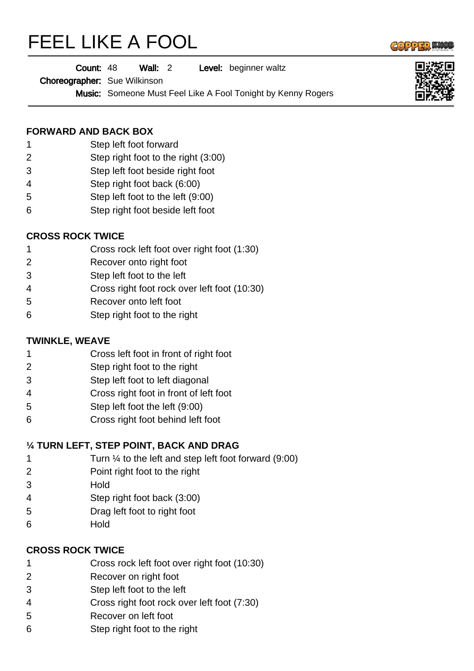# FEEL LIKE A FOOL



Wall: 2 Level: beginner waltz Count: 48

Choreographer: Sue Wilkinson

Music: Someone Must Feel Like A Fool Tonight by Kenny Rogers

### **FORWARD AND BACK BOX**

- Step left foot forward
- Step right foot to the right (3:00)
- Step left foot beside right foot
- Step right foot back (6:00)
- Step left foot to the left (9:00)
- Step right foot beside left foot

## **CROSS ROCK TWICE**

- Cross rock left foot over right foot (1:30)
- Recover onto right foot
- Step left foot to the left
- Cross right foot rock over left foot (10:30)
- Recover onto left foot
- Step right foot to the right

## **TWINKLE, WEAVE**

- Cross left foot in front of right foot
- Step right foot to the right
- Step left foot to left diagonal
- Cross right foot in front of left foot
- Step left foot the left (9:00)
- Cross right foot behind left foot

## **¼ TURN LEFT, STEP POINT, BACK AND DRAG**

- Turn ¼ to the left and step left foot forward (9:00)
- Point right foot to the right
- Hold
- Step right foot back (3:00)
- Drag left foot to right foot
- Hold

### **CROSS ROCK TWICE**

- Cross rock left foot over right foot (10:30)
- Recover on right foot
- Step left foot to the left
- Cross right foot rock over left foot (7:30)
- Recover on left foot
- Step right foot to the right